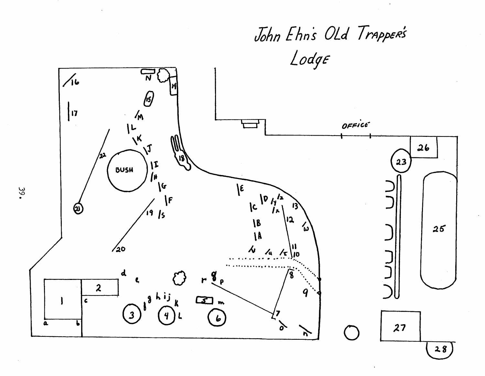

 $39.$ 

 $28$